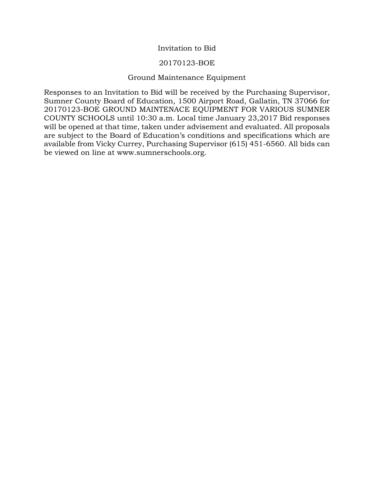## Invitation to Bid

## 20170123-BOE

## Ground Maintenance Equipment

Responses to an Invitation to Bid will be received by the Purchasing Supervisor, Sumner County Board of Education, 1500 Airport Road, Gallatin, TN 37066 for 20170123-BOE GROUND MAINTENACE EQUIPMENT FOR VARIOUS SUMNER COUNTY SCHOOLS until 10:30 a.m. Local time January 23,2017 Bid responses will be opened at that time, taken under advisement and evaluated. All proposals are subject to the Board of Education's conditions and specifications which are available from Vicky Currey, Purchasing Supervisor (615) 451-6560. All bids can be viewed on line at www.sumnerschools.org.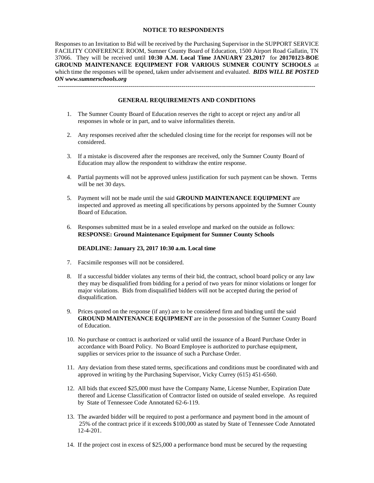#### **NOTICE TO RESPONDENTS**

Responses to an Invitation to Bid will be received by the Purchasing Supervisor in the SUPPORT SERVICE FACILITY CONFERENCE ROOM, Sumner County Board of Education, 1500 Airport Road Gallatin, TN 37066. They will be received until **10:30 A.M. Local Time JANUARY 23,2017** for **20170123-BOE GROUND MAINTENANCE EQUIPMENT FOR VARIOUS SUMNER COUNTY SCHOOLS** at which time the responses will be opened, taken under advisement and evaluated. *BIDS WILL BE POSTED ON www.sumnerschools.org*

-------------------------------------------------------------------------------------------------------------------------------

#### **GENERAL REQUIREMENTS AND CONDITIONS**

- 1. The Sumner County Board of Education reserves the right to accept or reject any and/or all responses in whole or in part, and to waive informalities therein.
- 2. Any responses received after the scheduled closing time for the receipt for responses will not be considered.
- 3. If a mistake is discovered after the responses are received, only the Sumner County Board of Education may allow the respondent to withdraw the entire response.
- 4. Partial payments will not be approved unless justification for such payment can be shown. Terms will be net 30 days.
- 5. Payment will not be made until the said **GROUND MAINTENANCE EQUIPMENT** are inspected and approved as meeting all specifications by persons appointed by the Sumner County Board of Education.
- 6. Responses submitted must be in a sealed envelope and marked on the outside as follows: **RESPONSE: Ground Maintenance Equipment for Sumner County Schools**

#### **DEADLINE: January 23, 2017 10:30 a.m. Local time**

- 7. Facsimile responses will not be considered.
- 8. If a successful bidder violates any terms of their bid, the contract, school board policy or any law they may be disqualified from bidding for a period of two years for minor violations or longer for major violations. Bids from disqualified bidders will not be accepted during the period of disqualification.
- 9. Prices quoted on the response (if any) are to be considered firm and binding until the said **GROUND MAINTENANCE EQUIPMENT** are in the possession of the Sumner County Board of Education.
- 10. No purchase or contract is authorized or valid until the issuance of a Board Purchase Order in accordance with Board Policy. No Board Employee is authorized to purchase equipment, supplies or services prior to the issuance of such a Purchase Order.
- 11. Any deviation from these stated terms, specifications and conditions must be coordinated with and approved in writing by the Purchasing Supervisor, Vicky Currey (615) 451-6560.
- 12. All bids that exceed \$25,000 must have the Company Name, License Number, Expiration Date thereof and License Classification of Contractor listed on outside of sealed envelope. As required by State of Tennessee Code Annotated 62-6-119.
- 13. The awarded bidder will be required to post a performance and payment bond in the amount of 25% of the contract price if it exceeds \$100,000 as stated by State of Tennessee Code Annotated 12-4-201.
- 14. If the project cost in excess of \$25,000 a performance bond must be secured by the requesting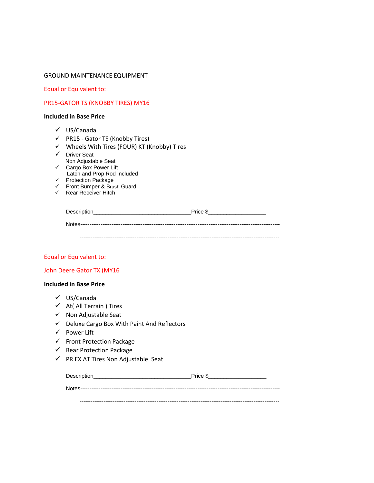#### GROUND MAINTENANCE EQUIPMENT

Equal or Equivalent to:

## PR15-GATOR TS (KNOBBY TIRES) MY16

#### **Included in Base Price**

- US/Canada
- $\checkmark$  PR15 Gator TS (Knobby Tires)
- $\checkmark$  Wheels With Tires (FOUR) KT (Knobby) Tires
- $\checkmark$  Driver Seat Non Adjustable Seat Cargo Box Power Lift
- Latch and Prop Rod Included
	- $\checkmark$  Protection Package
	- Front Bumper & Brush Guard
	- $\checkmark$  Rear Receiver Hitch

| Description | Price \$ |
|-------------|----------|
|             |          |
|             |          |

#### Equal or Equivalent to:

#### John Deere Gator TX (MY16

#### **Included in Base Price**

- US/Canada
- $\checkmark$  At( All Terrain ) Tires
- $\checkmark$  Non Adjustable Seat
- $\checkmark$  Deluxe Cargo Box With Paint And Reflectors
- $\checkmark$  Power Lift
- $\checkmark$  Front Protection Package
- $\checkmark$  Rear Protection Package
- $\checkmark$  PR EX AT Tires Non Adjustable Seat

| Description | Price \$ |
|-------------|----------|
|             |          |

-------------------------------------------------------------------------------------------------------------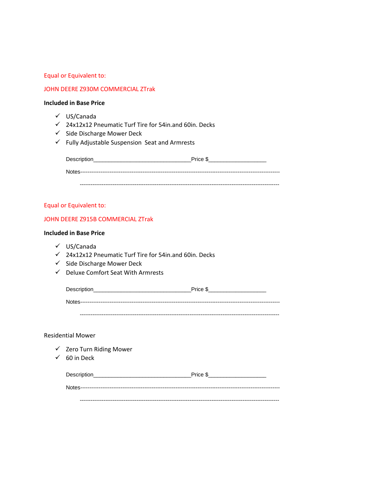#### JOHN DEERE Z930M COMMERCIAL ZTrak

#### **Included in Base Price**

- US/Canada
- $\checkmark$  24x12x12 Pneumatic Turf Tire for 54in.and 60in. Decks
- $\checkmark$  Side Discharge Mower Deck
- $\checkmark$  Fully Adjustable Suspension Seat and Armrests

| Description                                           | Price \$ |
|-------------------------------------------------------|----------|
| Notes-------------<br>------------------------------- |          |
|                                                       |          |

#### Equal or Equivalent to:

#### JOHN DEERE Z915B COMMERCIAL ZTrak

#### **Included in Base Price**

- US/Canada
- $\checkmark$  24x12x12 Pneumatic Turf Tire for 54in.and 60in. Decks
- $\checkmark$  Side Discharge Mower Deck
- $\checkmark$  Deluxe Comfort Seat With Armrests

| Description | Price \$ |
|-------------|----------|
|             |          |

-------------------------------------------------------------------------------------------------------------

#### Residential Mower

- $\checkmark$  Zero Turn Riding Mower
- $60$  in Deck

| Description | Price \$ |
|-------------|----------|
|             |          |

-------------------------------------------------------------------------------------------------------------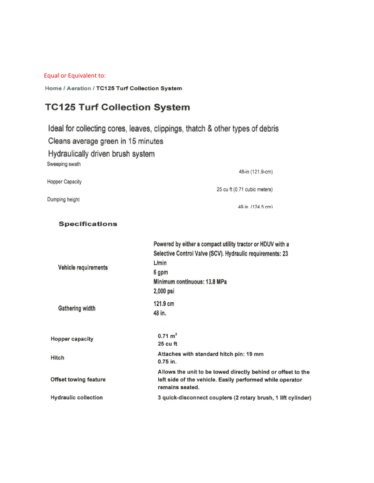Home / Aeration / TC125 Turf Collection System

## **TC125 Turf Collection System**

Ideal for collecting cores, leaves, clippings, thatch & other types of debris Cleans average green in 15 minutes Hydraulically driven brush system Sweeping swath

48-in (121.9-cm) **Hopper Capacity** 25 cu ft (0.71 cubic meters)

Dumping height

49 in (124.5 cm)

#### **Specifications**

|                              | Powered by either a compact utility tractor or HDUV with a                                                                                   |
|------------------------------|----------------------------------------------------------------------------------------------------------------------------------------------|
|                              | Selective Control Valve (SCV). Hydraulic requirements: 23                                                                                    |
| Vehicle requirements         | L/min                                                                                                                                        |
|                              | 6 gpm                                                                                                                                        |
|                              | Minimum continuous: 13.8 MPa                                                                                                                 |
|                              | 2,000 psi                                                                                                                                    |
| Gathering width              | 121.9 cm                                                                                                                                     |
|                              | 48 in.                                                                                                                                       |
| <b>Hopper capacity</b>       | $0.71 \text{ m}^3$                                                                                                                           |
|                              | 25 cu ft                                                                                                                                     |
| Hitch                        | Attaches with standard hitch pin: 19 mm<br>$0.75$ in.                                                                                        |
| <b>Offset towing feature</b> | Allows the unit to be towed directly behind or offset to the<br>left side of the vehicle. Easily performed while operator<br>remains seated. |
| <b>Hydraulic collection</b>  | 3 quick-disconnect couplers (2 rotary brush, 1 lift cylinder)                                                                                |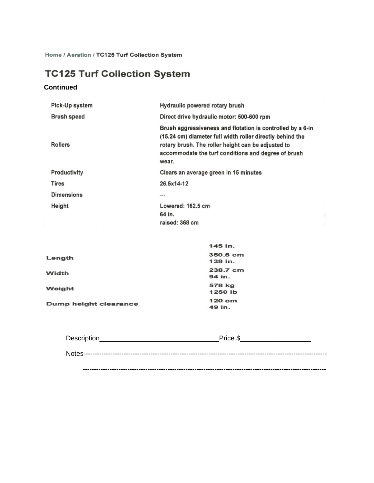Home / Aeration / TC125 Turf Collection System

# **TC125 Turf Collection System**

## **Continued**

| Pick-Up system     | Hydraulic powered rotary brush                                                                                                                                                                                                                |
|--------------------|-----------------------------------------------------------------------------------------------------------------------------------------------------------------------------------------------------------------------------------------------|
| <b>Brush speed</b> | Direct drive hydraulic motor: 500-600 rpm                                                                                                                                                                                                     |
| <b>Rollers</b>     | Brush aggressiveness and flotation is controlled by a 6-in<br>(15.24 cm) diameter full width roller directly behind the<br>rotary brush. The roller height can be adjusted to<br>accommodate the turf conditions and degree of brush<br>wear. |
| Productivity       | Clears an average green in 15 minutes                                                                                                                                                                                                         |
| <b>Tires</b>       | 26.5x14-12                                                                                                                                                                                                                                    |
| <b>Dimensions</b>  | <b>MS 93 06</b>                                                                                                                                                                                                                               |
| Height             | Lowered: 162.5 cm                                                                                                                                                                                                                             |
|                    | 64 in.                                                                                                                                                                                                                                        |
|                    | raised: 368 cm                                                                                                                                                                                                                                |

|                       | 145 in.  |
|-----------------------|----------|
| Length                | 350.5 cm |
|                       | 138 in.  |
| Width                 | 238.7 cm |
|                       | 94 in.   |
| Weight                | 578 kg   |
|                       | 1250 lb  |
| Dump height clearance | 120 cm   |
|                       | 49 in.   |

| Description | Price \$ |
|-------------|----------|
|             |          |
|             |          |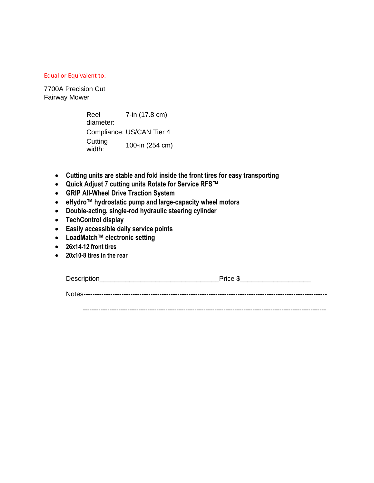7700A Precision Cut Fairway Mower

| Reel              | 7-in (17.8 cm)            |
|-------------------|---------------------------|
| diameter:         |                           |
|                   | Compliance: US/CAN Tier 4 |
| Cutting<br>width: | 100-in (254 cm)           |

- **Cutting units are stable and fold inside the front tires for easy transporting**
- **Quick Adjust 7 cutting units Rotate for Service RFS™**
- **GRIP All-Wheel Drive Traction System**
- **eHydro™ hydrostatic pump and large-capacity wheel motors**
- **Double-acting, single-rod hydraulic steering cylinder**
- **TechControl display**
- **Easily accessible daily service points**
- **LoadMatch™ electronic setting**
- **26x14-12 front tires**
- **20x10-8 tires in the rear**

| <b>Description</b> |  |
|--------------------|--|
|                    |  |

Notes-------------------------------------------------------------------------------------------------------------

-------------------------------------------------------------------------------------------------------------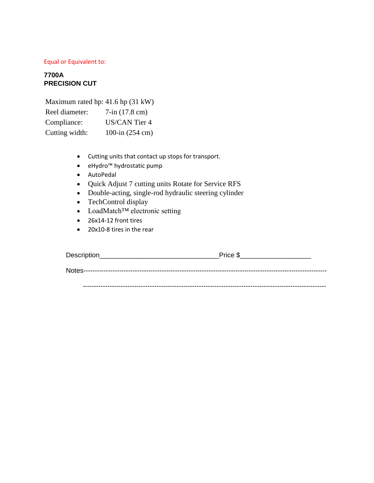## **7700A PRECISION CUT**

| Maximum rated hp: $41.6$ hp $(31 \text{ kW})$ |                                 |
|-----------------------------------------------|---------------------------------|
| Reel diameter:                                | $7\text{-}in (17.8 \text{ cm})$ |
| Compliance:                                   | <b>US/CAN Tier 4</b>            |
| Cutting width:                                | 100-in (254 cm)                 |

- Cutting units that contact up stops for transport.
- eHydro™ hydrostatic pump
- AutoPedal
- Quick Adjust 7 cutting units Rotate for Service RFS
- Double-acting, single-rod hydraulic steering cylinder
- TechControl display
- LoadMatch™ electronic setting
- 26x14-12 front tires
- 20x10-8 tires in the rear

| Description | Price \$ |
|-------------|----------|
|             |          |
|             |          |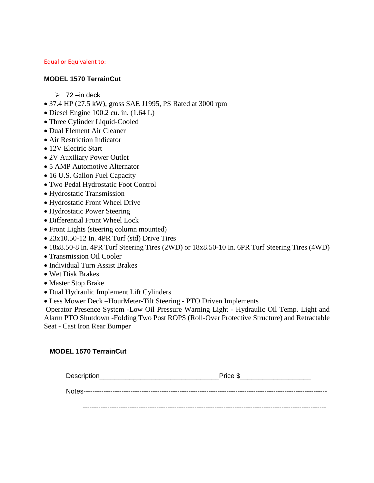## **MODEL 1570 TerrainCut**

- $\geq 72$  –in deck
- 37.4 HP (27.5 kW), gross SAE J1995, PS Rated at 3000 rpm
- Diesel Engine 100.2 cu. in. (1.64 L)
- Three Cylinder Liquid-Cooled
- Dual Element Air Cleaner
- Air Restriction Indicator
- 12V Electric Start
- 2V Auxiliary Power Outlet
- 5 AMP Automotive Alternator
- 16 U.S. Gallon Fuel Capacity
- Two Pedal Hydrostatic Foot Control
- Hydrostatic Transmission
- Hydrostatic Front Wheel Drive
- Hydrostatic Power Steering
- Differential Front Wheel Lock
- Front Lights (steering column mounted)
- 23x10.50-12 In. 4PR Turf (std) Drive Tires
- 18x8.50-8 In. 4PR Turf Steering Tires (2WD) or 18x8.50-10 In. 6PR Turf Steering Tires (4WD)
- Transmission Oil Cooler
- Individual Turn Assist Brakes
- Wet Disk Brakes
- Master Stop Brake
- Dual Hydraulic Implement Lift Cylinders
- Less Mower Deck –HourMeter-Tilt Steering PTO Driven Implements

Operator Presence System -Low Oil Pressure Warning Light - Hydraulic Oil Temp. Light and Alarm PTO Shutdown -Folding Two Post ROPS (Roll-Over Protective Structure) and Retractable Seat - Cast Iron Rear Bumper

## **MODEL 1570 TerrainCut**

| Description | Price \$ |
|-------------|----------|
|             |          |
|             |          |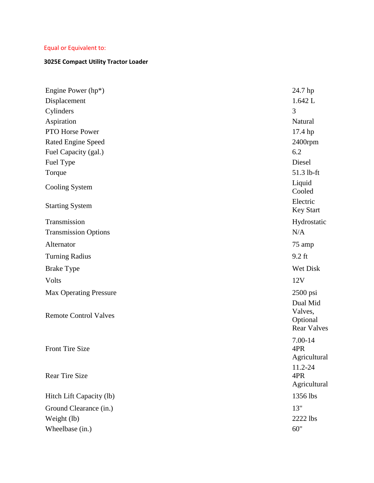## **3025E Compact Utility Tractor Loader**

| Engine Power $(hp^*)$         | 24.7 hp                                               |
|-------------------------------|-------------------------------------------------------|
| Displacement                  | 1.642 L                                               |
| Cylinders                     | 3                                                     |
| Aspiration                    | Natural                                               |
| PTO Horse Power               | 17.4 hp                                               |
| <b>Rated Engine Speed</b>     | $2400$ rpm                                            |
| Fuel Capacity (gal.)          | 6.2                                                   |
| Fuel Type                     | Diesel                                                |
| Torque                        | 51.3 lb-ft                                            |
| Cooling System                | Liquid<br>Cooled                                      |
| <b>Starting System</b>        | Electric<br><b>Key Start</b>                          |
| Transmission                  | Hydrostatic                                           |
| <b>Transmission Options</b>   | N/A                                                   |
| Alternator                    | 75 amp                                                |
| <b>Turning Radius</b>         | $9.2$ ft                                              |
| <b>Brake Type</b>             | Wet Disk                                              |
| Volts                         | 12V                                                   |
| <b>Max Operating Pressure</b> | $2500$ psi                                            |
| <b>Remote Control Valves</b>  | Dual Mid<br>Valves,<br>Optional<br><b>Rear Valves</b> |
| <b>Front Tire Size</b>        | 7.00-14<br>4PR<br>Agricultural                        |
| <b>Rear Tire Size</b>         | 11.2-24<br>4PR<br>Agricultural                        |
| Hitch Lift Capacity (lb)      | 1356 lbs                                              |
| Ground Clearance (in.)        | 13"                                                   |
| Weight (lb)                   | 2222 lbs                                              |
| Wheelbase (in.)               | 60"                                                   |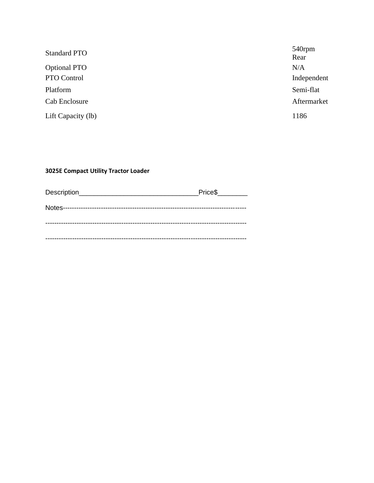| <b>Standard PTO</b> | 540rpm      |
|---------------------|-------------|
|                     | Rear        |
| <b>Optional PTO</b> | N/A         |
| PTO Control         | Independent |
| Platform            | Semi-flat   |
| Cab Enclosure       | Aftermarket |
| Lift Capacity (lb)  | 1186        |

## **3025E Compact Utility Tractor Loader**

| Description | Price \$ |
|-------------|----------|
|             |          |
|             |          |
|             |          |